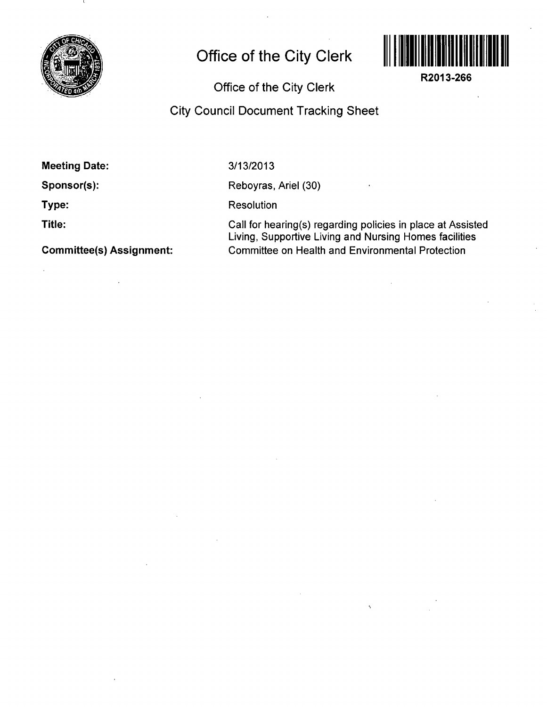

## **Office of the City Clerk**



**R2013-266** 

**Office of the City Clerk** 

## **City Council Document Tracking Sheet**

**Meeting Date:** 

**Sponsor(s):** 

**Type:** 

**Title:** 

**Committee(s) Assignment:** 

**3/13/2013** 

Reboyras, Ariel (30)

**Resolution** 

Call for hearing(s) regarding policies in place at Assisted Living, Supportive Living and Nursing Homes facilities Committee on Health and Environmental Protection